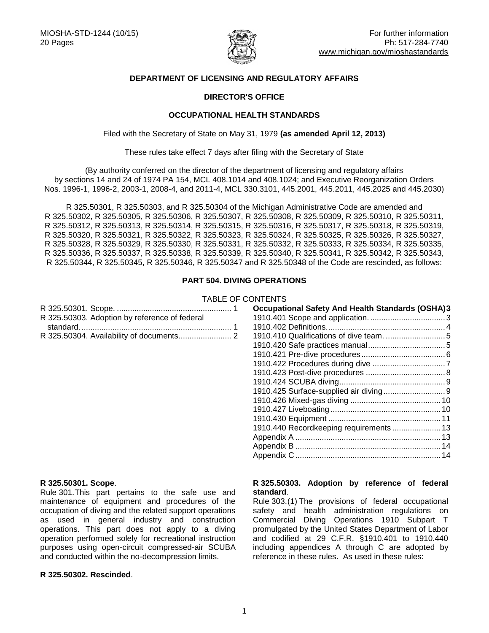

# **DEPARTMENT OF LICENSING AND REGULATORY AFFAIRS**

# **DIRECTOR'S OFFICE**

### **OCCUPATIONAL HEALTH STANDARDS**

Filed with the Secretary of State on May 31, 1979 **(as amended April 12, 2013)**

These rules take effect 7 days after filing with the Secretary of State

(By authority conferred on the director of the department of licensing and regulatory affairs by sections 14 and 24 of 1974 PA 154, MCL 408.1014 and 408.1024; and Executive Reorganization Orders Nos. 1996-1, 1996-2, 2003-1, 2008-4, and 2011-4, MCL 330.3101, 445.2001, 445.2011, 445.2025 and 445.2030)

R 325.50301, R 325.50303, and R 325.50304 of the Michigan Administrative Code are amended and R 325.50302, R 325.50305, R 325.50306, R 325.50307, R 325.50308, R 325.50309, R 325.50310, R 325.50311, R 325.50312, R 325.50313, R 325.50314, R 325.50315, R 325.50316, R 325.50317, R 325.50318, R 325.50319, R 325.50320, R 325.50321, R 325.50322, R 325.50323, R 325.50324, R 325.50325, R 325.50326, R 325.50327, R 325.50328, R 325.50329, R 325.50330, R 325.50331, R 325.50332, R 325.50333, R 325.50334, R 325.50335, R 325.50336, R 325.50337, R 325.50338, R 325.50339, R 325.50340, R 325.50341, R 325.50342, R 325.50343, R 325.50344, R 325.50345, R 325.50346, R 325.50347 and R 325.50348 of the Code are rescinded, as follows:

# **PART 504. DIVING OPERATIONS**

### TABLE OF CONTENTS

|                                               | <b>Occupational Safety And Health Standards (OSHA)3</b> |
|-----------------------------------------------|---------------------------------------------------------|
| R 325.50303. Adoption by reference of federal |                                                         |
|                                               |                                                         |
|                                               |                                                         |
|                                               |                                                         |
|                                               |                                                         |
|                                               |                                                         |
|                                               |                                                         |
|                                               |                                                         |
|                                               |                                                         |
|                                               |                                                         |
|                                               |                                                         |
|                                               |                                                         |
|                                               | 1910.440 Recordkeeping requirements  13                 |
|                                               |                                                         |
|                                               |                                                         |
|                                               |                                                         |
|                                               |                                                         |
|                                               |                                                         |

## <span id="page-0-0"></span>**R 325.50301. Scope**.

Rule 301.This part pertains to the safe use and maintenance of equipment and procedures of the occupation of diving and the related support operations as used in general industry and construction operations. This part does not apply to a diving operation performed solely for recreational instruction purposes using open-circuit compressed-air SCUBA and conducted within the no-decompression limits.

### **R 325.50302. Rescinded**.

# <span id="page-0-1"></span>**R 325.50303. Adoption by reference of federal standard**.

Rule 303.(1) The provisions of federal occupational safety and health administration regulations on Commercial Diving Operations 1910 Subpart T promulgated by the United States Department of Labor and codified at 29 C.F.R. §1910.401 to 1910.440 including appendices A through C are adopted by reference in these rules. As used in these rules: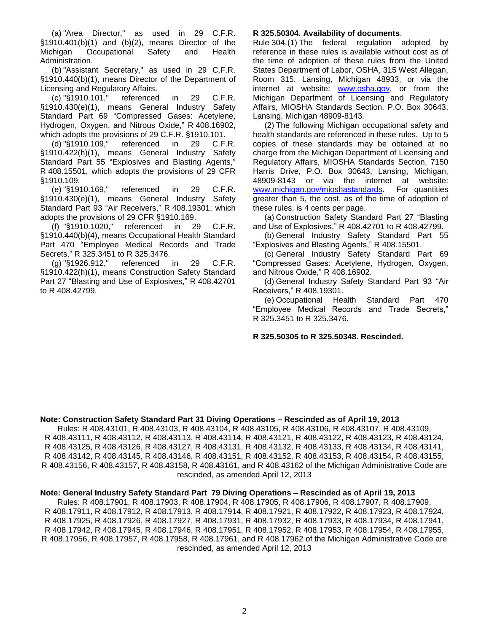(a) "Area Director," as used in 29 C.F.R.  $§1910.401(b)(1)$  and  $(b)(2)$ , means Director of the Michigan Occupational Safety and Health Administration.

(b) "Assistant Secretary," as used in 29 C.F.R. §1910.440(b)(1), means Director of the Department of Licensing and Regulatory Affairs.

(c) "§1910.101," referenced in 29 C.F.R. §1910.430(e)(1), means General Industry Safety Standard Part 69 "Compressed Gases: Acetylene, Hydrogen, Oxygen, and Nitrous Oxide," R 408.16902, which adopts the provisions of 29 C.F.R. §1910.101.

(d) "§1910.109," referenced in 29 C.F.R. §1910.422(h)(1), means General Industry Safety Standard Part 55 "Explosives and Blasting Agents," R 408.15501, which adopts the provisions of 29 CFR §1910.109.

(e) "§1910.169," referenced in 29 C.F.R. §1910.430(e)(1), means General Industry Safety Standard Part 93 "Air Receivers," R 408.19301, which adopts the provisions of 29 CFR §1910.169.

(f) "§1910.1020," referenced in 29 C.F.R. §1910.440(b)(4), means Occupational Health Standard Part 470 "Employee Medical Records and Trade Secrets," R 325.3451 to R 325.3476.

(g) "§1926.912," referenced in 29 C.F.R. §1910.422(h)(1), means Construction Safety Standard Part 27 "Blasting and Use of Explosives," R 408.42701 to R 408.42799.

#### <span id="page-1-0"></span>**R 325.50304. Availability of documents**.

Rule 304.(1) The federal regulation adopted by reference in these rules is available without cost as of the time of adoption of these rules from the United States Department of Labor, OSHA, 315 West Allegan, Room 315, Lansing, Michigan 48933, or via the internet at website: [www.osha.gov,](http://www.osha.gov/) or from the Michigan Department of Licensing and Regulatory Affairs, MIOSHA Standards Section, P.O. Box 30643, Lansing, Michigan 48909-8143.

(2) The following Michigan occupational safety and health standards are referenced in these rules. Up to 5 copies of these standards may be obtained at no charge from the Michigan Department of Licensing and Regulatory Affairs, MIOSHA Standards Section, 7150 Harris Drive, P.O. Box 30643, Lansing, Michigan, 48909-8143 or via the internet at website: [www.michigan.gov/mioshastandards.](http://www.michigan.gov/mioshastandards) For quantities greater than 5, the cost, as of the time of adoption of these rules, is 4 cents per page.

(a) Construction Safety Standard Part 27 "Blasting and Use of Explosives," R 408.42701 to R 408.42799.

(b) General Industry Safety Standard Part 55 "Explosives and Blasting Agents," R 408.15501.

(c) General Industry Safety Standard Part 69 "Compressed Gases: Acetylene, Hydrogen, Oxygen, and Nitrous Oxide," R 408.16902.

(d) General Industry Safety Standard Part 93 "Air Receivers," R 408.19301.

(e) Occupational Health Standard Part 470 "Employee Medical Records and Trade Secrets," R 325.3451 to R 325.3476.

#### **R 325.50305 to R 325.50348. Rescinded.**

#### **Note: Construction Safety Standard Part 31 Diving Operations – Rescinded as of April 19, 2013**

Rules: R 408.43101, R 408.43103, R 408.43104, R 408.43105, R 408.43106, R 408.43107, R 408.43109, R 408.43111, R 408.43112, R 408.43113, R 408.43114, R 408.43121, R 408.43122, R 408.43123, R 408.43124, R 408.43125, R 408.43126, R 408.43127, R 408.43131, R 408.43132, R 408.43133, R 408.43134, R 408.43141, R 408.43142, R 408.43145, R 408.43146, R 408.43151, R 408.43152, R 408.43153, R 408.43154, R 408.43155, R 408.43156, R 408.43157, R 408.43158, R 408.43161, and R 408.43162 of the Michigan Administrative Code are rescinded, as amended April 12, 2013

#### **Note: General Industry Safety Standard Part 79 Diving Operations – Rescinded as of April 19, 2013**

Rules: R 408.17901, R 408.17903, R 408.17904, R 408.17905, R 408.17906, R 408.17907, R 408.17909, R 408.17911, R 408.17912, R 408.17913, R 408.17914, R 408.17921, R 408.17922, R 408.17923, R 408.17924, R 408.17925, R 408.17926, R 408.17927, R 408.17931, R 408.17932, R 408.17933, R 408.17934, R 408.17941, R 408.17942, R 408.17945, R 408.17946, R 408.17951, R 408.17952, R 408.17953, R 408.17954, R 408.17955, R 408.17956, R 408.17957, R 408.17958, R 408.17961, and R 408.17962 of the Michigan Administrative Code are rescinded, as amended April 12, 2013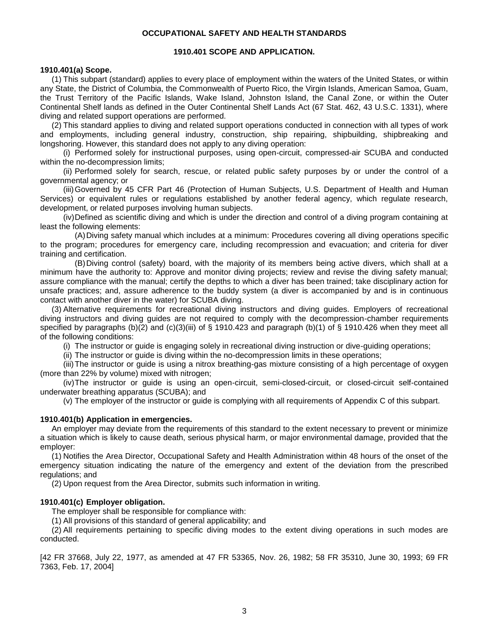### **OCCUPATIONAL SAFETY AND HEALTH STANDARDS**

#### **1910.401 SCOPE AND APPLICATION.**

#### <span id="page-2-1"></span><span id="page-2-0"></span>**1910.401(a) Scope.**

(1) This subpart (standard) applies to every place of employment within the waters of the United States, or within any State, the District of Columbia, the Commonwealth of Puerto Rico, the Virgin Islands, American Samoa, Guam, the Trust Territory of the Pacific Islands, Wake Island, Johnston Island, the Canal Zone, or within the Outer Continental Shelf lands as defined in the Outer Continental Shelf Lands Act (67 Stat. 462, 43 U.S.C. 1331), where diving and related support operations are performed.

(2) This standard applies to diving and related support operations conducted in connection with all types of work and employments, including general industry, construction, ship repairing, shipbuilding, shipbreaking and longshoring. However, this standard does not apply to any diving operation:

(i) Performed solely for instructional purposes, using open-circuit, compressed-air SCUBA and conducted within the no-decompression limits;

(ii) Performed solely for search, rescue, or related public safety purposes by or under the control of a governmental agency; or

(iii)Governed by 45 CFR Part 46 (Protection of Human Subjects, U.S. Department of Health and Human Services) or equivalent rules or regulations established by another federal agency, which regulate research, development, or related purposes involving human subjects.

(iv)Defined as scientific diving and which is under the direction and control of a diving program containing at least the following elements:

(A)Diving safety manual which includes at a minimum: Procedures covering all diving operations specific to the program; procedures for emergency care, including recompression and evacuation; and criteria for diver training and certification.

(B)Diving control (safety) board, with the majority of its members being active divers, which shall at a minimum have the authority to: Approve and monitor diving projects; review and revise the diving safety manual; assure compliance with the manual; certify the depths to which a diver has been trained; take disciplinary action for unsafe practices; and, assure adherence to the buddy system (a diver is accompanied by and is in continuous contact with another diver in the water) for SCUBA diving.

(3) Alternative requirements for recreational diving instructors and diving guides. Employers of recreational diving instructors and diving guides are not required to comply with the decompression-chamber requirements specified by paragraphs (b)(2) and (c)(3)(iii) of § 1910.423 and paragraph (b)(1) of § 1910.426 when they meet all of the following conditions:

(i) The instructor or guide is engaging solely in recreational diving instruction or dive-guiding operations;

(ii) The instructor or guide is diving within the no-decompression limits in these operations;

(iii)The instructor or guide is using a nitrox breathing-gas mixture consisting of a high percentage of oxygen (more than 22% by volume) mixed with nitrogen;

(iv)The instructor or guide is using an open-circuit, semi-closed-circuit, or closed-circuit self-contained underwater breathing apparatus (SCUBA); and

(v) The employer of the instructor or guide is complying with all requirements of Appendix C of this subpart.

#### **1910.401(b) Application in emergencies.**

An employer may deviate from the requirements of this standard to the extent necessary to prevent or minimize a situation which is likely to cause death, serious physical harm, or major environmental damage, provided that the employer:

(1) Notifies the Area Director, Occupational Safety and Health Administration within 48 hours of the onset of the emergency situation indicating the nature of the emergency and extent of the deviation from the prescribed regulations; and

(2) Upon request from the Area Director, submits such information in writing.

#### **1910.401(c) Employer obligation.**

The employer shall be responsible for compliance with:

(1) All provisions of this standard of general applicability; and

(2) All requirements pertaining to specific diving modes to the extent diving operations in such modes are conducted.

[42 FR 37668, July 22, 1977, as amended at 47 FR 53365, Nov. 26, 1982; 58 FR 35310, June 30, 1993; 69 FR 7363, Feb. 17, 2004]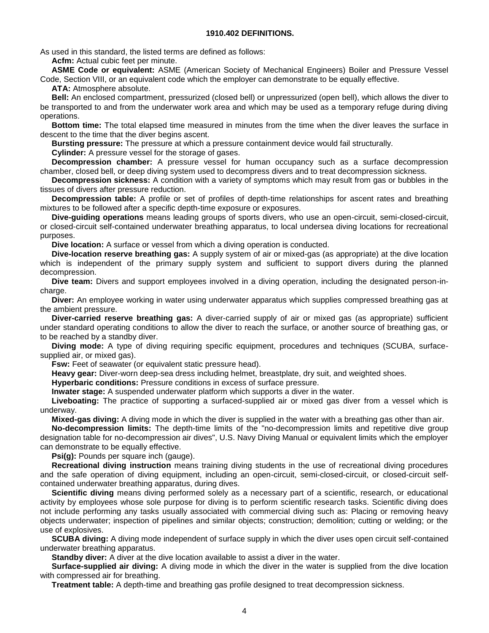<span id="page-3-0"></span>As used in this standard, the listed terms are defined as follows:

**Acfm:** Actual cubic feet per minute.

**ASME Code or equivalent:** ASME (American Society of Mechanical Engineers) Boiler and Pressure Vessel Code, Section VIII, or an equivalent code which the employer can demonstrate to be equally effective.

**ATA:** Atmosphere absolute.

**Bell:** An enclosed compartment, pressurized (closed bell) or unpressurized (open bell), which allows the diver to be transported to and from the underwater work area and which may be used as a temporary refuge during diving operations.

**Bottom time:** The total elapsed time measured in minutes from the time when the diver leaves the surface in descent to the time that the diver begins ascent.

**Bursting pressure:** The pressure at which a pressure containment device would fail structurally.

**Cylinder:** A pressure vessel for the storage of gases.

**Decompression chamber:** A pressure vessel for human occupancy such as a surface decompression chamber, closed bell, or deep diving system used to decompress divers and to treat decompression sickness.

**Decompression sickness:** A condition with a variety of symptoms which may result from gas or bubbles in the tissues of divers after pressure reduction.

**Decompression table:** A profile or set of profiles of depth-time relationships for ascent rates and breathing mixtures to be followed after a specific depth-time exposure or exposures.

**Dive-guiding operations** means leading groups of sports divers, who use an open-circuit, semi-closed-circuit, or closed-circuit self-contained underwater breathing apparatus, to local undersea diving locations for recreational purposes.

**Dive location:** A surface or vessel from which a diving operation is conducted.

**Dive-location reserve breathing gas:** A supply system of air or mixed-gas (as appropriate) at the dive location which is independent of the primary supply system and sufficient to support divers during the planned decompression.

**Dive team:** Divers and support employees involved in a diving operation, including the designated person-incharge.

**Diver:** An employee working in water using underwater apparatus which supplies compressed breathing gas at the ambient pressure.

**Diver-carried reserve breathing gas:** A diver-carried supply of air or mixed gas (as appropriate) sufficient under standard operating conditions to allow the diver to reach the surface, or another source of breathing gas, or to be reached by a standby diver.

**Diving mode:** A type of diving requiring specific equipment, procedures and techniques (SCUBA, surfacesupplied air, or mixed gas).

**Fsw:** Feet of seawater (or equivalent static pressure head).

**Heavy gear:** Diver-worn deep-sea dress including helmet, breastplate, dry suit, and weighted shoes.

**Hyperbaric conditions:** Pressure conditions in excess of surface pressure.

**Inwater stage:** A suspended underwater platform which supports a diver in the water.

**Liveboating:** The practice of supporting a surfaced-supplied air or mixed gas diver from a vessel which is underway.

**Mixed-gas diving:** A diving mode in which the diver is supplied in the water with a breathing gas other than air.

**No-decompression limits:** The depth-time limits of the "no-decompression limits and repetitive dive group designation table for no-decompression air dives", U.S. Navy Diving Manual or equivalent limits which the employer can demonstrate to be equally effective.

**Psi(g):** Pounds per square inch (gauge).

**Recreational diving instruction** means training diving students in the use of recreational diving procedures and the safe operation of diving equipment, including an open-circuit, semi-closed-circuit, or closed-circuit selfcontained underwater breathing apparatus, during dives.

**Scientific diving** means diving performed solely as a necessary part of a scientific, research, or educational activity by employees whose sole purpose for diving is to perform scientific research tasks. Scientific diving does not include performing any tasks usually associated with commercial diving such as: Placing or removing heavy objects underwater; inspection of pipelines and similar objects; construction; demolition; cutting or welding; or the use of explosives.

**SCUBA diving:** A diving mode independent of surface supply in which the diver uses open circuit self-contained underwater breathing apparatus.

**Standby diver:** A diver at the dive location available to assist a diver in the water.

**Surface-supplied air diving:** A diving mode in which the diver in the water is supplied from the dive location with compressed air for breathing.

**Treatment table:** A depth-time and breathing gas profile designed to treat decompression sickness.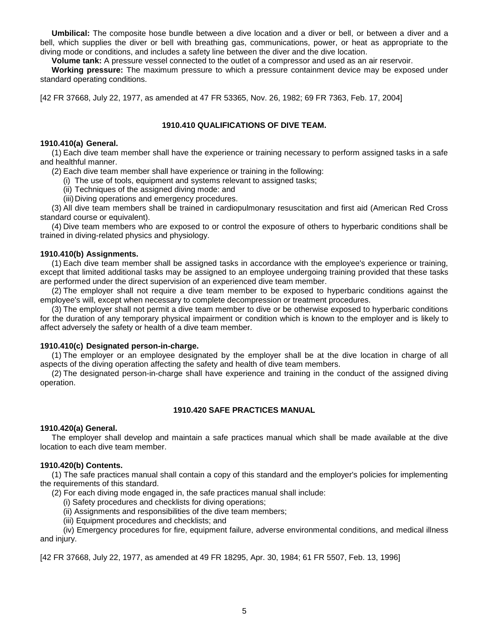**Umbilical:** The composite hose bundle between a dive location and a diver or bell, or between a diver and a bell, which supplies the diver or bell with breathing gas, communications, power, or heat as appropriate to the diving mode or conditions, and includes a safety line between the diver and the dive location.

**Volume tank:** A pressure vessel connected to the outlet of a compressor and used as an air reservoir.

**Working pressure:** The maximum pressure to which a pressure containment device may be exposed under standard operating conditions.

[42 FR 37668, July 22, 1977, as amended at 47 FR 53365, Nov. 26, 1982; 69 FR 7363, Feb. 17, 2004]

### **1910.410 QUALIFICATIONS OF DIVE TEAM.**

#### <span id="page-4-0"></span>**1910.410(a) General.**

(1) Each dive team member shall have the experience or training necessary to perform assigned tasks in a safe and healthful manner.

(2) Each dive team member shall have experience or training in the following:

(i) The use of tools, equipment and systems relevant to assigned tasks;

- (ii) Techniques of the assigned diving mode: and
- (iii)Diving operations and emergency procedures.

(3) All dive team members shall be trained in cardiopulmonary resuscitation and first aid (American Red Cross standard course or equivalent).

(4) Dive team members who are exposed to or control the exposure of others to hyperbaric conditions shall be trained in diving-related physics and physiology.

#### **1910.410(b) Assignments.**

(1) Each dive team member shall be assigned tasks in accordance with the employee's experience or training, except that limited additional tasks may be assigned to an employee undergoing training provided that these tasks are performed under the direct supervision of an experienced dive team member.

(2) The employer shall not require a dive team member to be exposed to hyperbaric conditions against the employee's will, except when necessary to complete decompression or treatment procedures.

(3) The employer shall not permit a dive team member to dive or be otherwise exposed to hyperbaric conditions for the duration of any temporary physical impairment or condition which is known to the employer and is likely to affect adversely the safety or health of a dive team member.

#### **1910.410(c) Designated person-in-charge.**

(1) The employer or an employee designated by the employer shall be at the dive location in charge of all aspects of the diving operation affecting the safety and health of dive team members.

(2) The designated person-in-charge shall have experience and training in the conduct of the assigned diving operation.

### **1910.420 SAFE PRACTICES MANUAL**

#### <span id="page-4-1"></span>**1910.42[0\(a\)](http://www.osha.gov/pls/oshaweb/owalink.query_links?src_doc_type=STANDARDS&src_unique_file=1910_0420&src_anchor_name=1910.420(a)) General.**

The employer shall develop and maintain a safe practices manual which shall be made available at the dive location to each dive team member.

#### **1910.420(b) Contents.**

(1) The safe practices manual shall contain a copy of this standard and the employer's policies for implementing the requirements of this standard.

- (2) For each diving mode engaged in, the safe practices manual shall include:
	- (i) Safety procedures and checklists for diving operations;
	- (ii) Assignments and responsibilities of the dive team members;
	- (iii) Equipment procedures and checklists; and

(iv) Emergency procedures for fire, equipment failure, adverse environmental conditions, and medical illness and injury.

[42 FR 37668, July 22, 1977, as amended at 49 FR 18295, Apr. 30, 1984; 61 FR 5507, Feb. 13, 1996]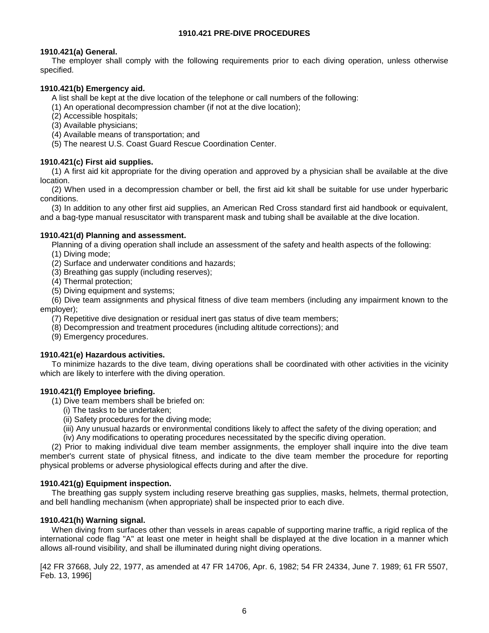### **1910.421 PRE-DIVE PROCEDURES**

### <span id="page-5-0"></span>**1910.421(a) General.**

The employer shall comply with the following requirements prior to each diving operation, unless otherwise specified.

### **1910.42[1\(b\)](http://www.osha.gov/pls/oshaweb/owalink.query_links?src_doc_type=STANDARDS&src_unique_file=1910_0421&src_anchor_name=1910.421(b)) Emergency aid.**

A list shall be kept at the dive location of the telephone or call numbers of the following:

(1) An operational decompression chamber (if not at the dive location);

- (2) Accessible hospitals;
- (3) Available physicians;
- (4) Available means of transportation; and
- (5) The nearest U.S. Coast Guard Rescue Coordination Center.

### **1910.421(c) First aid supplies.**

(1) A first aid kit appropriate for the diving operation and approved by a physician shall be available at the dive location.

(2) When used in a decompression chamber or bell, the first aid kit shall be suitable for use under hyperbaric conditions.

(3) In addition to any other first aid supplies, an American Red Cross standard first aid handbook or equivalent, and a bag-type manual resuscitator with transparent mask and tubing shall be available at the dive location.

### **1910.421(d) Planning and assessment.**

Planning of a diving operation shall include an assessment of the safety and health aspects of the following:

- (1) Diving mode;
- (2) Surface and underwater conditions and hazards;
- (3) Breathing gas supply (including reserves);
- (4) Thermal protection;
- (5) Diving equipment and systems;

(6) Dive team assignments and physical fitness of dive team members (including any impairment known to the employer);

- (7) Repetitive dive designation or residual inert gas status of dive team members;
- (8) Decompression and treatment procedures (including altitude corrections); and
- (9) Emergency procedures.

### **1910.421(e) Hazardous activities.**

To minimize hazards to the dive team, diving operations shall be coordinated with other activities in the vicinity which are likely to interfere with the diving operation.

### **[1910.421\(f\)](http://www.osha.gov/pls/oshaweb/owalink.query_links?src_doc_type=STANDARDS&src_unique_file=1910_0421&src_anchor_name=1910.421(f)) Employee briefing.**

- (1) Dive team members shall be briefed on:
	- (i) The tasks to be undertaken;
	- (ii) Safety procedures for the diving mode;
	- (iii) Any unusual hazards or environmental conditions likely to affect the safety of the diving operation; and
	- (iv) Any modifications to operating procedures necessitated by the specific diving operation.

(2) Prior to making individual dive team member assignments, the employer shall inquire into the dive team member's current state of physical fitness, and indicate to the dive team member the procedure for reporting physical problems or adverse physiological effects during and after the dive.

### **1910.421(g) Equipment inspection.**

The breathing gas supply system including reserve breathing gas supplies, masks, helmets, thermal protection, and bell handling mechanism (when appropriate) shall be inspected prior to each dive.

### **[1910.421\(h\)](http://www.osha.gov/pls/oshaweb/owalink.query_links?src_doc_type=STANDARDS&src_unique_file=1910_0421&src_anchor_name=1910.421(h)) Warning signal.**

When diving from surfaces other than vessels in areas capable of supporting marine traffic, a rigid replica of the international code flag "A" at least one meter in height shall be displayed at the dive location in a manner which allows all-round visibility, and shall be illuminated during night diving operations.

[42 FR 37668, July 22, 1977, as amended at 47 FR 14706, Apr. 6, 1982; 54 FR 24334, June 7. 1989; 61 FR 5507, Feb. 13, 1996]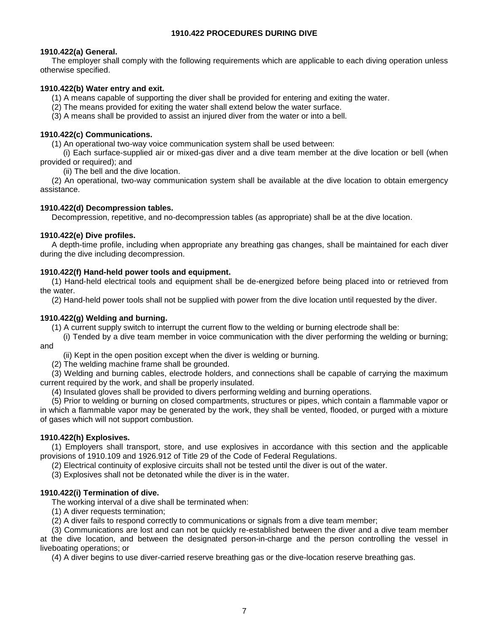# **1910.422 PROCEDURES DURING DIVE**

### <span id="page-6-0"></span>**1910.422(a) General.**

The employer shall comply with the following requirements which are applicable to each diving operation unless otherwise specified.

# **1910.422(b) Water entry and exit.**

(1) A means capable of supporting the diver shall be provided for entering and exiting the water.

(2) The means provided for exiting the water shall extend below the water surface.

(3) A means shall be provided to assist an injured diver from the water or into a bell.

### **1910.422(c) Communications.**

(1) An operational two-way voice communication system shall be used between:

(i) Each surface-supplied air or mixed-gas diver and a dive team member at the dive location or bell (when provided or required); and

(ii) The bell and the dive location.

(2) An operational, two-way communication system shall be available at the dive location to obtain emergency assistance.

# **1910.422(d) Decompression tables.**

Decompression, repetitive, and no-decompression tables (as appropriate) shall be at the dive location.

### **[1910.422\(e\)](http://www.osha.gov/pls/oshaweb/owalink.query_links?src_doc_type=STANDARDS&src_unique_file=1910_0422&src_anchor_name=1910.422(e)) Dive profiles.**

A depth-time profile, including when appropriate any breathing gas changes, shall be maintained for each diver during the dive including decompression.

### **1910.422(f) Hand-held power tools and equipment.**

(1) Hand-held electrical tools and equipment shall be de-energized before being placed into or retrieved from the water.

(2) Hand-held power tools shall not be supplied with power from the dive location until requested by the diver.

### **1910.422(g) Welding and burning.**

(1) A current supply switch to interrupt the current flow to the welding or burning electrode shall be:

(i) Tended by a dive team member in voice communication with the diver performing the welding or burning; and

(ii) Kept in the open position except when the diver is welding or burning.

(2) The welding machine frame shall be grounded.

(3) Welding and burning cables, electrode holders, and connections shall be capable of carrying the maximum current required by the work, and shall be properly insulated.

(4) Insulated gloves shall be provided to divers performing welding and burning operations.

(5) Prior to welding or burning on closed compartments, structures or pipes, which contain a flammable vapor or in which a flammable vapor may be generated by the work, they shall be vented, flooded, or purged with a mixture of gases which will not support combustion.

### **1910.422(h) Explosives.**

(1) Employers shall transport, store, and use explosives in accordance with this section and the applicable provisions of 1910.109 and 1926.912 of Title 29 of the Code of Federal Regulations.

(2) Electrical continuity of explosive circuits shall not be tested until the diver is out of the water.

(3) Explosives shall not be detonated while the diver is in the water.

### **1910.422(i) Termination of dive.**

The working interval of a dive shall be terminated when:

(1) A diver requests termination;

(2) A diver fails to respond correctly to communications or signals from a dive team member;

(3) Communications are lost and can not be quickly re-established between the diver and a dive team member at the dive location, and between the designated person-in-charge and the person controlling the vessel in liveboating operations; or

(4) A diver begins to use diver-carried reserve breathing gas or the dive-location reserve breathing gas.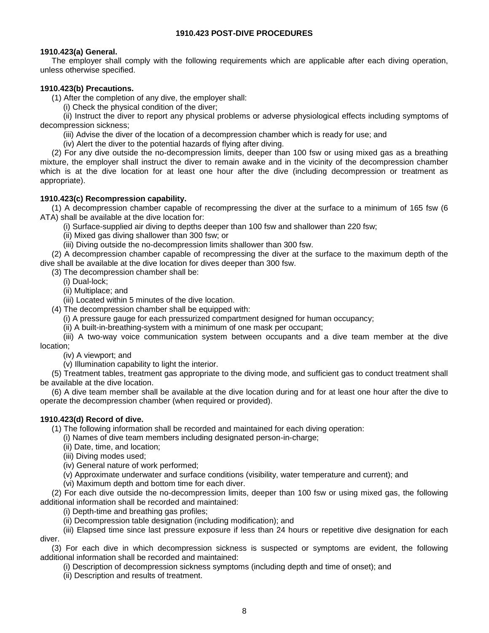## **1910.423 POST-DIVE PROCEDURES**

# <span id="page-7-0"></span>**1910.423(a) General.**

The employer shall comply with the following requirements which are applicable after each diving operation, unless otherwise specified.

# **1910.423(b) Precautions.**

(1) After the completion of any dive, the employer shall:

(i) Check the physical condition of the diver;

[\(ii\)](http://www.osha.gov/pls/oshaweb/owalink.query_links?src_doc_type=STANDARDS&src_unique_file=1910_0423&src_anchor_name=1910.423(b)(1)(ii)) Instruct the diver to report any physical problems or adverse physiological effects including symptoms of decompression sickness;

(iii) Advise the diver of the location of a decompression chamber which is ready for use; and

[\(iv\)](http://www.osha.gov/pls/oshaweb/owalink.query_links?src_doc_type=STANDARDS&src_unique_file=1910_0423&src_anchor_name=1910.423(b)(1)(iv)) Alert the diver to the potential hazards of flying after diving.

[\(2\)](http://www.osha.gov/pls/oshaweb/owalink.query_links?src_doc_type=STANDARDS&src_unique_file=1910_0423&src_anchor_name=1910.423(b)(2)) For any dive outside the no-decompression limits, deeper than 100 fsw or using mixed gas as a breathing mixture, the employer shall instruct the diver to remain awake and in the vicinity of the decompression chamber which is at the dive location for at least one hour after the dive (including decompression or treatment as appropriate).

# **1910.423(c) Recompression capability.**

(1) A decompression chamber capable of recompressing the diver at the surface to a minimum of 165 fsw (6 ATA) shall be available at the dive location for:

(i) Surface-supplied air diving to depths deeper than 100 fsw and shallower than 220 fsw;

(ii) Mixed gas diving shallower than 300 fsw; or

(iii) Diving outside the no-decompression limits shallower than 300 fsw.

(2) A decompression chamber capable of recompressing the diver at the surface to the maximum depth of the dive shall be available at the dive location for dives deeper than 300 fsw.

(3) The decompression chamber shall be:

(i) Dual-lock;

(ii) Multiplace; and

[\(iii\)](http://www.osha.gov/pls/oshaweb/owalink.query_links?src_doc_type=STANDARDS&src_unique_file=1910_0423&src_anchor_name=1910.423(c)(3)(iii)) Located within 5 minutes of the dive location.

(4) The decompression chamber shall be equipped with:

(i) A pressure gauge for each pressurized compartment designed for human occupancy;

(ii) A built-in-breathing-system with a minimum of one mask per occupant;

(iii) A two-way voice communication system between occupants and a dive team member at the dive location;

(iv) A viewport; and

(v) Illumination capability to light the interior.

(5) Treatment tables, treatment gas appropriate to the diving mode, and sufficient gas to conduct treatment shall be available at the dive location.

(6) A dive team member shall be available at the dive location during and for at least one hour after the dive to operate the decompression chamber (when required or provided).

### **[1910.423\(d\)](http://www.osha.gov/pls/oshaweb/owalink.query_links?src_doc_type=STANDARDS&src_unique_file=1910_0423&src_anchor_name=1910.423(d)) Record of dive.**

(1) The following information shall be recorded and maintained for each diving operation:

(i) Names of dive team members including designated person-in-charge;

- (ii) Date, time, and location;
- (iii) Diving modes used;

(iv) General nature of work performed;

(v) Approximate underwater and surface conditions (visibility, water temperature and current); and

(vi) Maximum depth and bottom time for each diver.

(2) For each dive outside the no-decompression limits, deeper than 100 fsw or using mixed gas, the following additional information shall be recorded and maintained:

(i) Depth-time and breathing gas profiles;

(ii) Decompression table designation (including modification); and

(iii) Elapsed time since last pressure exposure if less than 24 hours or repetitive dive designation for each diver.

(3) For each dive in which decompression sickness is suspected or symptoms are evident, the following additional information shall be recorded and maintained:

(i) Description of decompression sickness symptoms (including depth and time of onset); and

(ii) Description and results of treatment.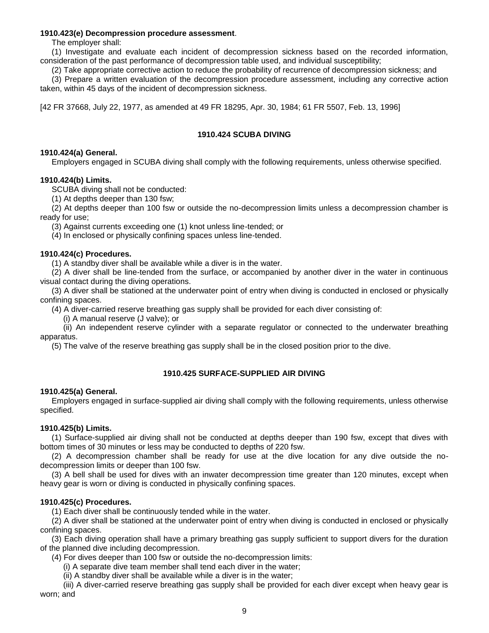### **[1910.423\(e\)](http://www.osha.gov/pls/oshaweb/owalink.query_links?src_doc_type=STANDARDS&src_unique_file=1910_0423&src_anchor_name=1910.423(e)) Decompression procedure assessment**.

The employer shall:

(1) Investigate and evaluate each incident of decompression sickness based on the recorded information, consideration of the past performance of decompression table used, and individual susceptibility;

(2) Take appropriate corrective action to reduce the probability of recurrence of decompression sickness; and

(3) Prepare a written evaluation of the decompression procedure assessment, including any corrective action taken, within 45 days of the incident of decompression sickness.

[42 FR 37668, July 22, 1977, as amended at 49 FR 18295, Apr. 30, 1984; 61 FR 5507, Feb. 13, 1996]

# **1910.424 SCUBA DIVING**

### <span id="page-8-0"></span>**1910.424(a) General.**

Employers engaged in SCUBA diving shall comply with the following requirements, unless otherwise specified.

### **1910.424(b) Limits.**

SCUBA diving shall not be conducted:

(1) At depths deeper than 130 fsw;

(2) At depths deeper than 100 fsw or outside the no-decompression limits unless a decompression chamber is ready for use;

(3) Against currents exceeding one (1) knot unless line-tended; or

(4) In enclosed or physically confining spaces unless line-tended.

### **1910.424(c) Procedures.**

(1) A standby diver shall be available while a diver is in the water.

(2) A diver shall be line-tended from the surface, or accompanied by another diver in the water in continuous visual contact during the diving operations.

(3) A diver shall be stationed at the underwater point of entry when diving is conducted in enclosed or physically confining spaces.

(4) A diver-carried reserve breathing gas supply shall be provided for each diver consisting of:

(i) A manual reserve (J valve); or

(ii) An independent reserve cylinder with a separate regulator or connected to the underwater breathing apparatus.

(5) The valve of the reserve breathing gas supply shall be in the closed position prior to the dive.

### **1910.425 SURFACE-SUPPLIED AIR DIVING**

#### <span id="page-8-1"></span>**1910.425(a) General.**

Employers engaged in surface-supplied air diving shall comply with the following requirements, unless otherwise specified.

### **1910.425(b) Limits.**

(1) Surface-supplied air diving shall not be conducted at depths deeper than 190 fsw, except that dives with bottom times of 30 minutes or less may be conducted to depths of 220 fsw.

(2) A decompression chamber shall be ready for use at the dive location for any dive outside the nodecompression limits or deeper than 100 fsw.

(3) A bell shall be used for dives with an inwater decompression time greater than 120 minutes, except when heavy gear is worn or diving is conducted in physically confining spaces.

### **1910.425(c) Procedures.**

(1) Each diver shall be continuously tended while in the water.

(2) A diver shall be stationed at the underwater point of entry when diving is conducted in enclosed or physically confining spaces.

(3) Each diving operation shall have a primary breathing gas supply sufficient to support divers for the duration of the planned dive including decompression.

(4) For dives deeper than 100 fsw or outside the no-decompression limits:

- (i) A separate dive team member shall tend each diver in the water;
- (ii) A standby diver shall be available while a diver is in the water;

(iii) A diver-carried reserve breathing gas supply shall be provided for each diver except when heavy gear is worn; and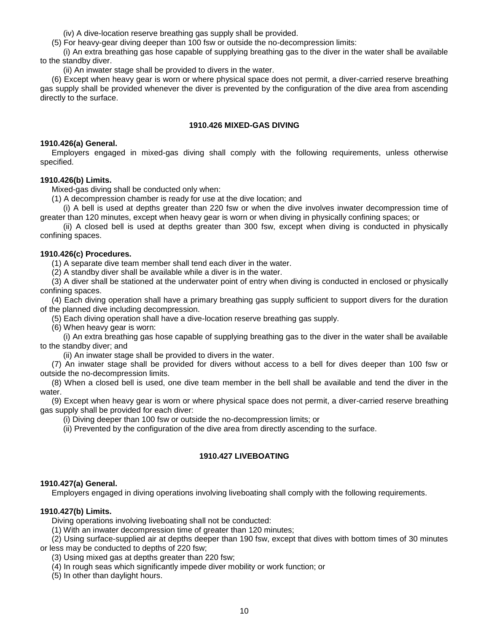(iv) A dive-location reserve breathing gas supply shall be provided.

(5) For heavy-gear diving deeper than 100 fsw or outside the no-decompression limits:

(i) An extra breathing gas hose capable of supplying breathing gas to the diver in the water shall be available to the standby diver.

(ii) An inwater stage shall be provided to divers in the water.

(6) Except when heavy gear is worn or where physical space does not permit, a diver-carried reserve breathing gas supply shall be provided whenever the diver is prevented by the configuration of the dive area from ascending directly to the surface.

### **1910.426 MIXED-GAS DIVING**

### <span id="page-9-0"></span>**1910.426(a) General.**

Employers engaged in mixed-gas diving shall comply with the following requirements, unless otherwise specified.

### **1910.426(b) Limits.**

Mixed-gas diving shall be conducted only when:

[\(1\)](http://www.osha.gov/pls/oshaweb/owalink.query_links?src_doc_type=STANDARDS&src_unique_file=1910_0426&src_anchor_name=1910.426(b)(1)) A decompression chamber is ready for use at the dive location; and

(i) A bell is used at depths greater than 220 fsw or when the dive involves inwater decompression time of greater than 120 minutes, except when heavy gear is worn or when diving in physically confining spaces; or

(ii) A closed bell is used at depths greater than 300 fsw, except when diving is conducted in physically confining spaces.

### **1910.426(c) Procedures.**

(1) A separate dive team member shall tend each diver in the water.

(2) A standby diver shall be available while a diver is in the water.

(3) A diver shall be stationed at the underwater point of entry when diving is conducted in enclosed or physically confining spaces.

(4) Each diving operation shall have a primary breathing gas supply sufficient to support divers for the duration of the planned dive including decompression.

(5) Each diving operation shall have a dive-location reserve breathing gas supply.

(6) When heavy gear is worn:

(i) An extra breathing gas hose capable of supplying breathing gas to the diver in the water shall be available to the standby diver; and

(ii) An inwater stage shall be provided to divers in the water.

(7) An inwater stage shall be provided for divers without access to a bell for dives deeper than 100 fsw or outside the no-decompression limits.

(8) When a closed bell is used, one dive team member in the bell shall be available and tend the diver in the water.

(9) Except when heavy gear is worn or where physical space does not permit, a diver-carried reserve breathing gas supply shall be provided for each diver:

(i) Diving deeper than 100 fsw or outside the no-decompression limits; or

(ii) Prevented by the configuration of the dive area from directly ascending to the surface.

### **1910.427 LIVEBOATING**

### <span id="page-9-1"></span>**1910.427(a) General.**

Employers engaged in diving operations involving liveboating shall comply with the following requirements.

### **1910.427(b) Limits.**

Diving operations involving liveboating shall not be conducted:

(1) With an inwater decompression time of greater than 120 minutes;

(2) Using surface-supplied air at depths deeper than 190 fsw, except that dives with bottom times of 30 minutes or less may be conducted to depths of 220 fsw;

(3) Using mixed gas at depths greater than 220 fsw;

(4) In rough seas which significantly impede diver mobility or work function; or

(5) In other than daylight hours.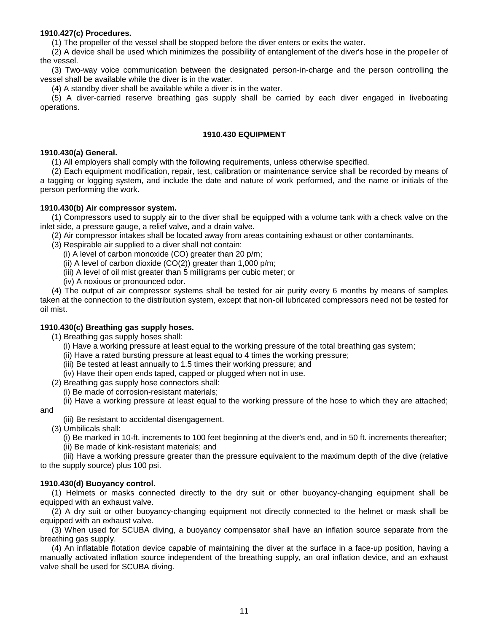### **1910.427(c) Procedures.**

(1) The propeller of the vessel shall be stopped before the diver enters or exits the water.

(2) A device shall be used which minimizes the possibility of entanglement of the diver's hose in the propeller of the vessel.

(3) Two-way voice communication between the designated person-in-charge and the person controlling the vessel shall be available while the diver is in the water.

(4) A standby diver shall be available while a diver is in the water.

(5) A diver-carried reserve breathing gas supply shall be carried by each diver engaged in liveboating operations.

#### **1910.430 EQUIPMENT**

### <span id="page-10-0"></span>**[1910.430\(a\)](http://www.osha.gov/pls/oshaweb/owalink.query_links?src_doc_type=STANDARDS&src_unique_file=1910_0430&src_anchor_name=1910.430(a)) General.**

(1) All employers shall comply with the following requirements, unless otherwise specified.

(2) Each equipment modification, repair, test, calibration or maintenance service shall be recorded by means of a tagging or logging system, and include the date and nature of work performed, and the name or initials of the person performing the work.

### **1910.430(b) Air compressor system.**

(1) Compressors used to supply air to the diver shall be equipped with a volume tank with a check valve on the inlet side, a pressure gauge, a relief valve, and a drain valve.

(2) Air compressor intakes shall be located away from areas containing exhaust or other contaminants.

- (3) Respirable air supplied to a diver shall not contain:
	- (i) A level of carbon monoxide (CO) greater than 20 p/m;
	- (ii) A level of carbon dioxide  $(CO(2))$  greater than 1,000 p/m;
	- (iii) A level of oil mist greater than 5 milligrams per cubic meter; or
	- (iv) A noxious or pronounced odor.

[\(4\)](http://www.osha.gov/pls/oshaweb/owalink.query_links?src_doc_type=STANDARDS&src_unique_file=1910_0430&src_anchor_name=1910.430(b)(4)) The output of air compressor systems shall be tested for air purity every 6 months by means of samples taken at the connection to the distribution system, except that non-oil lubricated compressors need not be tested for oil mist.

### **1910.430(c) Breathing gas supply hoses.**

- (1) Breathing gas supply hoses shall:
	- (i) Have a working pressure at least equal to the working pressure of the total breathing gas system;
	- (ii) Have a rated bursting pressure at least equal to 4 times the working pressure;
	- [\(iii\)](http://www.osha.gov/pls/oshaweb/owalink.query_links?src_doc_type=STANDARDS&src_unique_file=1910_0430&src_anchor_name=1910.430(c)(1)(iii)) Be tested at least annually to 1.5 times their working pressure; and
	- (iv) Have their open ends taped, capped or plugged when not in use.
- (2) Breathing gas supply hose connectors shall:
	- (i) Be made of corrosion-resistant materials;

(ii) Have a working pressure at least equal to the working pressure of the hose to which they are attached;

(iii) Be resistant to accidental disengagement.

(3) Umbilicals shall:

and

[\(i\)](http://www.osha.gov/pls/oshaweb/owalink.query_links?src_doc_type=STANDARDS&src_unique_file=1910_0430&src_anchor_name=1910.430(c)(3)(i)) Be marked in 10-ft. increments to 100 feet beginning at the diver's end, and in 50 ft. increments thereafter; (ii) Be made of kink-resistant materials; and

(iii) Have a working pressure greater than the pressure equivalent to the maximum depth of the dive (relative to the supply source) plus 100 psi.

### **1910.430(d) Buoyancy control.**

(1) Helmets or masks connected directly to the dry suit or other buoyancy-changing equipment shall be equipped with an exhaust valve.

(2) A dry suit or other buoyancy-changing equipment not directly connected to the helmet or mask shall be equipped with an exhaust valve.

(3) When used for SCUBA diving, a buoyancy compensator shall have an inflation source separate from the breathing gas supply.

(4) An inflatable flotation device capable of maintaining the diver at the surface in a face-up position, having a manually activated inflation source independent of the breathing supply, an oral inflation device, and an exhaust valve shall be used for SCUBA diving.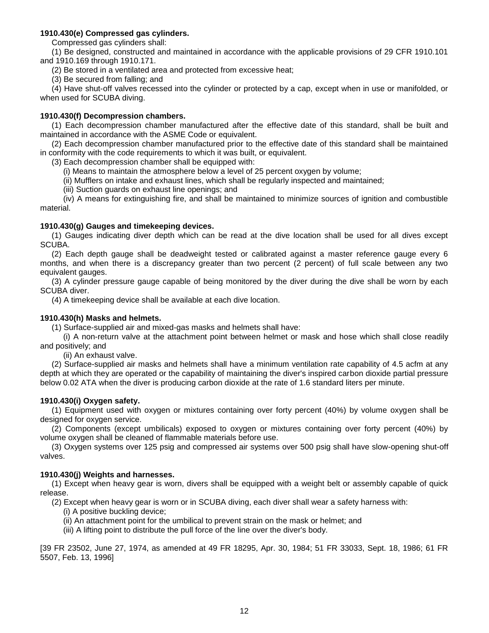# **1910.430(e) Compressed gas cylinders.**

Compressed gas cylinders shall:

(1) Be designed, constructed and maintained in accordance with the applicable provisions of 29 CFR 1910.101 and 1910.169 through 1910.171.

(2) Be stored in a ventilated area and protected from excessive heat;

(3) Be secured from falling; and

(4) Have shut-off valves recessed into the cylinder or protected by a cap, except when in use or manifolded, or when used for SCUBA diving.

# **1910.430(f) Decompression chambers.**

(1) Each decompression chamber manufactured after the effective date of this standard, shall be built and maintained in accordance with the ASME Code or equivalent.

(2) Each decompression chamber manufactured prior to the effective date of this standard shall be maintained in conformity with the code requirements to which it was built, or equivalent.

(3) Each decompression chamber shall be equipped with:

(i) Means to maintain the atmosphere below a level of 25 percent oxygen by volume;

[\(ii\)](http://www.osha.gov/pls/oshaweb/owalink.query_links?src_doc_type=STANDARDS&src_unique_file=1910_0430&src_anchor_name=1910.430(f)(3)(ii)) Mufflers on intake and exhaust lines, which shall be regularly inspected and maintained;

(iii) Suction guards on exhaust line openings; and

(iv) A means for extinguishing fire, and shall be maintained to minimize sources of ignition and combustible material.

# **1910.430(g) Gauges and timekeeping devices.**

(1) Gauges indicating diver depth which can be read at the dive location shall be used for all dives except SCUBA.

[\(2\)](http://www.osha.gov/pls/oshaweb/owalink.query_links?src_doc_type=STANDARDS&src_unique_file=1910_0430&src_anchor_name=1910.430(g)(2)) Each depth gauge shall be deadweight tested or calibrated against a master reference gauge every 6 months, and when there is a discrepancy greater than two percent (2 percent) of full scale between any two equivalent gauges.

(3) A cylinder pressure gauge capable of being monitored by the diver during the dive shall be worn by each SCUBA diver.

(4) A timekeeping device shall be available at each dive location.

### **1910.430(h) Masks and helmets.**

(1) Surface-supplied air and mixed-gas masks and helmets shall have:

(i) A non-return valve at the attachment point between helmet or mask and hose which shall close readily and positively; and

(ii) An exhaust valve.

(2) Surface-supplied air masks and helmets shall have a minimum ventilation rate capability of 4.5 acfm at any depth at which they are operated or the capability of maintaining the diver's inspired carbon dioxide partial pressure below 0.02 ATA when the diver is producing carbon dioxide at the rate of 1.6 standard liters per minute.

### **1910.430(i) Oxygen safety.**

(1) Equipment used with oxygen or mixtures containing over forty percent (40%) by volume oxygen shall be designed for oxygen service.

(2) Components (except umbilicals) exposed to oxygen or mixtures containing over forty percent (40%) by volume oxygen shall be cleaned of flammable materials before use.

(3) Oxygen systems over 125 psig and compressed air systems over 500 psig shall have slow-opening shut-off valves.

### **1910.430(j) Weights and harnesses.**

(1) Except when heavy gear is worn, divers shall be equipped with a weight belt or assembly capable of quick release.

(2) Except when heavy gear is worn or in SCUBA diving, each diver shall wear a safety harness with:

(i) A positive buckling device;

(ii) An attachment point for the umbilical to prevent strain on the mask or helmet; and

(iii) A lifting point to distribute the pull force of the line over the diver's body.

[39 FR 23502, June 27, 1974, as amended at 49 FR 18295, Apr. 30, 1984; 51 FR 33033, Sept. 18, 1986; 61 FR 5507, Feb. 13, 1996]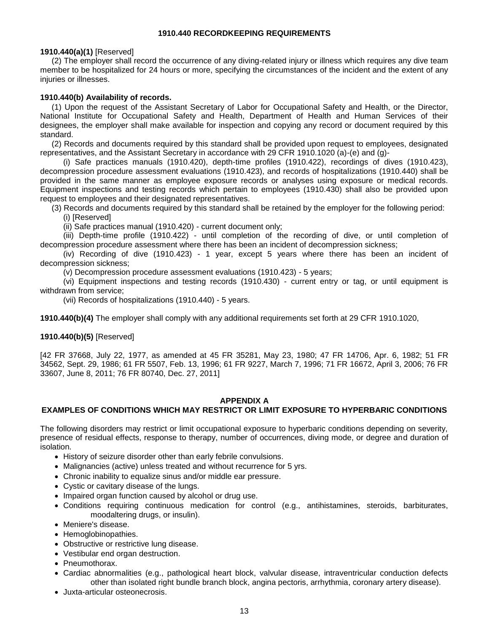### **1910.440 RECORDKEEPING REQUIREMENTS**

### <span id="page-12-0"></span>**1910.440(a)(1)** [Reserved]

[\(2\)](http://www.osha.gov/pls/oshaweb/owalink.query_links?src_doc_type=STANDARDS&src_unique_file=1910_0440&src_anchor_name=1910.440(a)(2)) The employer shall record the occurrence of any diving-related injury or illness which requires any dive team member to be hospitalized for 24 hours or more, specifying the circumstances of the incident and the extent of any injuries or illnesses.

# **[1910.440\(b\)](http://www.osha.gov/pls/oshaweb/owalink.query_links?src_doc_type=STANDARDS&src_unique_file=1910_0440&src_anchor_name=1910.440(b)) Availability of records.**

(1) Upon the request of the Assistant Secretary of Labor for Occupational Safety and Health, or the Director, National Institute for Occupational Safety and Health, Department of Health and Human Services of their designees, the employer shall make available for inspection and copying any record or document required by this standard.

(2) Records and documents required by this standard shall be provided upon request to employees, designated representatives, and the Assistant Secretary in accordance with 29 CFR 1910.1020 (a)-(e) and (g)-

(i) Safe practices manuals (1910.420), depth-time profiles (1910.422), recordings of dives (1910.423), decompression procedure assessment evaluations (1910.423), and records of hospitalizations (1910.440) shall be provided in the same manner as employee exposure records or analyses using exposure or medical records. Equipment inspections and testing records which pertain to employees (1910.430) shall also be provided upon request to employees and their designated representatives.

(3) Records and documents required by this standard shall be retained by the employer for the following period: (i) [Reserved]

(ii) Safe practices manual (1910.420) - current document only;

(iii) Depth-time profile (1910.422) - until completion of the recording of dive, or until completion of decompression procedure assessment where there has been an incident of decompression sickness;

(iv) Recording of dive (1910.423) - 1 year, except 5 years where there has been an incident of decompression sickness;

(v) Decompression procedure assessment evaluations (1910.423) - 5 years;

(vi) Equipment inspections and testing records (1910.430) - current entry or tag, or until equipment is withdrawn from service;

(vii) Records of hospitalizations (1910.440) - 5 years.

**1910.440(b)(4)** The employer shall comply with any additional requirements set forth at 29 CFR 1910.1020,

### **1910.440(b)(5)** [Reserved]

[42 FR 37668, July 22, 1977, as amended at 45 FR 35281, May 23, 1980; 47 FR 14706, Apr. 6, 1982; 51 FR 34562, Sept. 29, 1986; 61 FR 5507, Feb. 13, 1996; 61 FR 9227, March 7, 1996; 71 FR 16672, April 3, 2006; 76 FR 33607, June 8, 2011; 76 FR 80740, Dec. 27, 2011]

### **APPENDIX A**

# <span id="page-12-1"></span>**EXAMPLES OF CONDITIONS WHICH MAY RESTRICT OR LIMIT EXPOSURE TO HYPERBARIC CONDITIONS**

The following disorders may restrict or limit occupational exposure to hyperbaric conditions depending on severity, presence of residual effects, response to therapy, number of occurrences, diving mode, or degree and duration of isolation.

- History of seizure disorder other than early febrile convulsions.
- Malignancies (active) unless treated and without recurrence for 5 yrs.
- Chronic inability to equalize sinus and/or middle ear pressure.
- Cystic or cavitary disease of the lungs.
- Impaired organ function caused by alcohol or drug use.
- Conditions requiring continuous medication for control (e.g., antihistamines, steroids, barbiturates, moodaltering drugs, or insulin).
- Meniere's disease.
- Hemoglobinopathies.
- Obstructive or restrictive lung disease.
- Vestibular end organ destruction.
- Pneumothorax.
- Cardiac abnormalities (e.g., pathological heart block, valvular disease, intraventricular conduction defects other than isolated right bundle branch block, angina pectoris, arrhythmia, coronary artery disease).
- Juxta-articular osteonecrosis.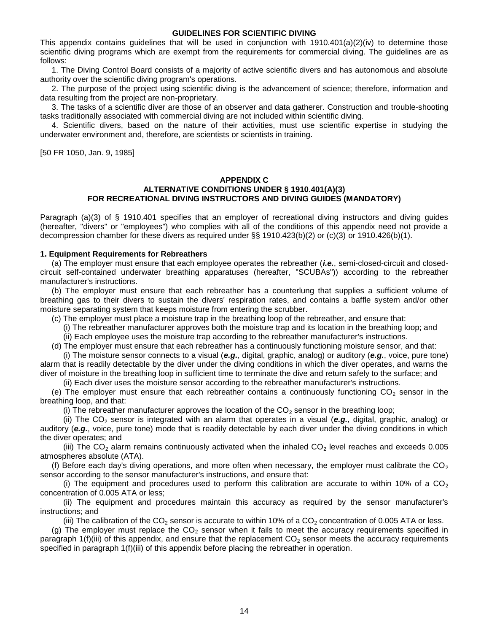#### **GUIDELINES FOR SCIENTIFIC DIVING**

<span id="page-13-0"></span>This appendix contains guidelines that will be used in conjunction with  $1910.401(a)(2)(iv)$  to determine those scientific diving programs which are exempt from the requirements for commercial diving. The guidelines are as follows:

1. The Diving Control Board consists of a majority of active scientific divers and has autonomous and absolute authority over the scientific diving program's operations.

2. The purpose of the project using scientific diving is the advancement of science; therefore, information and data resulting from the project are non-proprietary.

3. The tasks of a scientific diver are those of an observer and data gatherer. Construction and trouble-shooting tasks traditionally associated with commercial diving are not included within scientific diving.

4. Scientific divers, based on the nature of their activities, must use scientific expertise in studying the underwater environment and, therefore, are scientists or scientists in training.

[50 FR 1050, Jan. 9, 1985]

### **APPENDIX C ALTERNATIVE CONDITIONS UNDER § 1910.401(A)(3) FOR RECREATIONAL DIVING INSTRUCTORS AND DIVING GUIDES (MANDATORY)**

<span id="page-13-1"></span>Paragraph (a)(3) of § 1910.401 specifies that an employer of recreational diving instructors and diving guides (hereafter, "divers" or "employees") who complies with all of the conditions of this appendix need not provide a decompression chamber for these divers as required under §§ 1910.423(b)(2) or (c)(3) or 1910.426(b)(1).

### **1. Equipment Requirements for Rebreathers**

(a) The employer must ensure that each employee operates the rebreather (*i.e.*, semi-closed-circuit and closedcircuit self-contained underwater breathing apparatuses (hereafter, "SCUBAs")) according to the rebreather manufacturer's instructions.

(b) The employer must ensure that each rebreather has a counterlung that supplies a sufficient volume of breathing gas to their divers to sustain the divers' respiration rates, and contains a baffle system and/or other moisture separating system that keeps moisture from entering the scrubber.

(c) The employer must place a moisture trap in the breathing loop of the rebreather, and ensure that:

(i) The rebreather manufacturer approves both the moisture trap and its location in the breathing loop; and

(ii) Each employee uses the moisture trap according to the rebreather manufacturer's instructions.

(d) The employer must ensure that each rebreather has a continuously functioning moisture sensor, and that:

(i) The moisture sensor connects to a visual (*e.g.*, digital, graphic, analog) or auditory (*e.g.*, voice, pure tone) alarm that is readily detectable by the diver under the diving conditions in which the diver operates, and warns the diver of moisture in the breathing loop in sufficient time to terminate the dive and return safely to the surface; and

(ii) Each diver uses the moisture sensor according to the rebreather manufacturer's instructions.

(e) The employer must ensure that each rebreather contains a continuously functioning  $CO<sub>2</sub>$  sensor in the breathing loop, and that:

(i) The rebreather manufacturer approves the location of the  $CO<sub>2</sub>$  sensor in the breathing loop;

(ii) The  $CO<sub>2</sub>$  sensor is integrated with an alarm that operates in a visual ( $e.q.$ , digital, graphic, analog) or auditory (*e.g.*, voice, pure tone) mode that is readily detectable by each diver under the diving conditions in which the diver operates; and

(iii) The  $CO<sub>2</sub>$  alarm remains continuously activated when the inhaled  $CO<sub>2</sub>$  level reaches and exceeds 0.005 atmospheres absolute (ATA).

(f) Before each day's diving operations, and more often when necessary, the employer must calibrate the  $CO<sub>2</sub>$ sensor according to the sensor manufacturer's instructions, and ensure that:

(i) The equipment and procedures used to perform this calibration are accurate to within 10% of a  $CO<sub>2</sub>$ concentration of 0.005 ATA or less;

(ii) The equipment and procedures maintain this accuracy as required by the sensor manufacturer's instructions; and

(iii) The calibration of the CO<sub>2</sub> sensor is accurate to within 10% of a CO<sub>2</sub> concentration of 0.005 ATA or less.

(g) The employer must replace the  $CO<sub>2</sub>$  sensor when it fails to meet the accuracy requirements specified in paragraph 1(f)(iii) of this appendix, and ensure that the replacement  $CO<sub>2</sub>$  sensor meets the accuracy requirements specified in paragraph 1(f)(iii) of this appendix before placing the rebreather in operation.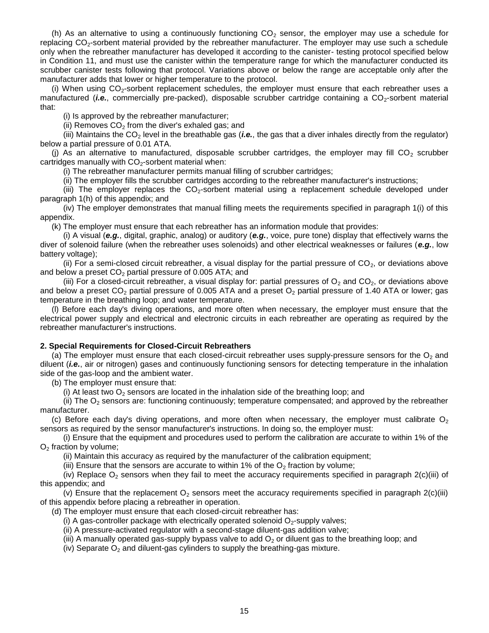(h) As an alternative to using a continuously functioning  $CO<sub>2</sub>$  sensor, the employer may use a schedule for replacing  $CO<sub>2</sub>$ -sorbent material provided by the rebreather manufacturer. The employer may use such a schedule only when the rebreather manufacturer has developed it according to the canister- testing protocol specified below in Condition 11, and must use the canister within the temperature range for which the manufacturer conducted its scrubber canister tests following that protocol. Variations above or below the range are acceptable only after the manufacturer adds that lower or higher temperature to the protocol.

(i) When using  $CO<sub>2</sub>$ -sorbent replacement schedules, the employer must ensure that each rebreather uses a manufactured (*i.e.*, commercially pre-packed), disposable scrubber cartridge containing a CO<sub>2</sub>-sorbent material that:

(i) Is approved by the rebreather manufacturer;

(ii) Removes  $CO<sub>2</sub>$  from the diver's exhaled gas; and

(iii) Maintains the  $CO<sub>2</sub>$  level in the breathable gas (*i.e.*, the gas that a diver inhales directly from the regulator) below a partial pressure of 0.01 ATA.

(j) As an alternative to manufactured, disposable scrubber cartridges, the employer may fill  $CO<sub>2</sub>$  scrubber cartridges manually with  $CO<sub>2</sub>$ -sorbent material when:

(i) The rebreather manufacturer permits manual filling of scrubber cartridges;

(ii) The employer fills the scrubber cartridges according to the rebreather manufacturer's instructions;

(iii) The employer replaces the  $CO<sub>2</sub>$ -sorbent material using a replacement schedule developed under paragraph 1(h) of this appendix; and

(iv) The employer demonstrates that manual filling meets the requirements specified in paragraph 1(i) of this appendix.

(k) The employer must ensure that each rebreather has an information module that provides:

(i) A visual (*e.g.*, digital, graphic, analog) or auditory (*e.g.*, voice, pure tone) display that effectively warns the diver of solenoid failure (when the rebreather uses solenoids) and other electrical weaknesses or failures (*e.g.*, low battery voltage);

(ii) For a semi-closed circuit rebreather, a visual display for the partial pressure of  $CO<sub>2</sub>$ , or deviations above and below a preset  $CO<sub>2</sub>$  partial pressure of 0.005 ATA; and

(iii) For a closed-circuit rebreather, a visual display for: partial pressures of  $O_2$  and  $CO_2$ , or deviations above and below a preset  $CO<sub>2</sub>$  partial pressure of 0.005 ATA and a preset  $O<sub>2</sub>$  partial pressure of 1.40 ATA or lower; gas temperature in the breathing loop; and water temperature.

(l) Before each day's diving operations, and more often when necessary, the employer must ensure that the electrical power supply and electrical and electronic circuits in each rebreather are operating as required by the rebreather manufacturer's instructions.

### **2. Special Requirements for Closed-Circuit Rebreathers**

(a) The employer must ensure that each closed-circuit rebreather uses supply-pressure sensors for the  $O<sub>2</sub>$  and diluent (*i.e.*, air or nitrogen) gases and continuously functioning sensors for detecting temperature in the inhalation side of the gas-loop and the ambient water.

(b) The employer must ensure that:

(i) At least two  $O<sub>2</sub>$  sensors are located in the inhalation side of the breathing loop; and

(ii) The  $O<sub>2</sub>$  sensors are: functioning continuously; temperature compensated; and approved by the rebreather manufacturer.

(c) Before each day's diving operations, and more often when necessary, the employer must calibrate  $O<sub>2</sub>$ sensors as required by the sensor manufacturer's instructions. In doing so, the employer must:

(i) Ensure that the equipment and procedures used to perform the calibration are accurate to within 1% of the  $O<sub>2</sub>$  fraction by volume;

(ii) Maintain this accuracy as required by the manufacturer of the calibration equipment;

(iii) Ensure that the sensors are accurate to within 1% of the  $O<sub>2</sub>$  fraction by volume;

(iv) Replace  $O_2$  sensors when they fail to meet the accuracy requirements specified in paragraph  $2(c)$ (iii) of this appendix; and

(v) Ensure that the replacement  $O<sub>2</sub>$  sensors meet the accuracy requirements specified in paragraph  $2(c)$ (iii) of this appendix before placing a rebreather in operation.

(d) The employer must ensure that each closed-circuit rebreather has:

(i) A gas-controller package with electrically operated solenoid  $O<sub>2</sub>$ -supply valves;

(ii) A pressure-activated regulator with a second-stage diluent-gas addition valve;

(iii) A manually operated gas-supply bypass valve to add  $O<sub>2</sub>$  or diluent gas to the breathing loop; and

(iv) Separate  $O_2$  and diluent-gas cylinders to supply the breathing-gas mixture.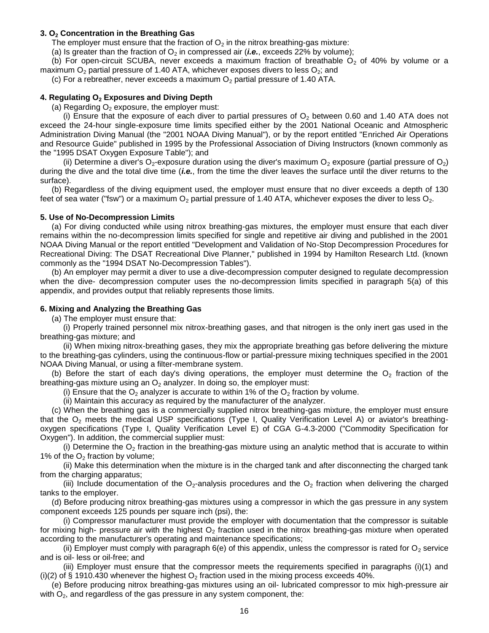### **3. O<sup>2</sup> Concentration in the Breathing Gas**

The employer must ensure that the fraction of  $O<sub>2</sub>$  in the nitrox breathing-gas mixture:

(a) Is greater than the fraction of  $O_2$  in compressed air (*i.e.*, exceeds 22% by volume);

(b) For open-circuit SCUBA, never exceeds a maximum fraction of breathable  $O<sub>2</sub>$  of 40% by volume or a maximum  $O_2$  partial pressure of 1.40 ATA, whichever exposes divers to less  $O_2$ ; and

(c) For a rebreather, never exceeds a maximum  $O_2$  partial pressure of 1.40 ATA.

#### **4. Regulating O<sup>2</sup> Exposures and Diving Depth**

(a) Regarding  $O<sub>2</sub>$  exposure, the employer must:

(i) Ensure that the exposure of each diver to partial pressures of  $O<sub>2</sub>$  between 0.60 and 1.40 ATA does not exceed the 24-hour single-exposure time limits specified either by the 2001 National Oceanic and Atmospheric Administration Diving Manual (the "2001 NOAA Diving Manual"), or by the report entitled "Enriched Air Operations and Resource Guide" published in 1995 by the Professional Association of Diving Instructors (known commonly as the "1995 DSAT Oxygen Exposure Table"); and

(ii) Determine a diver's O<sub>2</sub>-exposure duration using the diver's maximum O<sub>2</sub> exposure (partial pressure of O<sub>2</sub>) during the dive and the total dive time (*i.e.*, from the time the diver leaves the surface until the diver returns to the surface).

(b) Regardless of the diving equipment used, the employer must ensure that no diver exceeds a depth of 130 feet of sea water ("fsw") or a maximum  $O<sub>2</sub>$  partial pressure of 1.40 ATA, whichever exposes the diver to less  $O<sub>2</sub>$ .

#### **5. Use of No-Decompression Limits**

(a) For diving conducted while using nitrox breathing-gas mixtures, the employer must ensure that each diver remains within the no-decompression limits specified for single and repetitive air diving and published in the 2001 NOAA Diving Manual or the report entitled "Development and Validation of No-Stop Decompression Procedures for Recreational Diving: The DSAT Recreational Dive Planner," published in 1994 by Hamilton Research Ltd. (known commonly as the "1994 DSAT No-Decompression Tables").

(b) An employer may permit a diver to use a dive-decompression computer designed to regulate decompression when the dive- decompression computer uses the no-decompression limits specified in paragraph 5(a) of this appendix, and provides output that reliably represents those limits.

#### **6. Mixing and Analyzing the Breathing Gas**

(a) The employer must ensure that:

(i) Properly trained personnel mix nitrox-breathing gases, and that nitrogen is the only inert gas used in the breathing-gas mixture; and

(ii) When mixing nitrox-breathing gases, they mix the appropriate breathing gas before delivering the mixture to the breathing-gas cylinders, using the continuous-flow or partial-pressure mixing techniques specified in the 2001 NOAA Diving Manual, or using a filter-membrane system.

(b) Before the start of each day's diving operations, the employer must determine the  $O<sub>2</sub>$  fraction of the breathing-gas mixture using an  $O_2$  analyzer. In doing so, the employer must:

(i) Ensure that the  $O_2$  analyzer is accurate to within 1% of the  $O_2$  fraction by volume.

(ii) Maintain this accuracy as required by the manufacturer of the analyzer.

(c) When the breathing gas is a commercially supplied nitrox breathing-gas mixture, the employer must ensure that the  $O<sub>2</sub>$  meets the medical USP specifications (Type I, Quality Verification Level A) or aviator's breathingoxygen specifications (Type I, Quality Verification Level E) of CGA G-4.3-2000 ("Commodity Specification for Oxygen"). In addition, the commercial supplier must:

(i) Determine the  $O<sub>2</sub>$  fraction in the breathing-gas mixture using an analytic method that is accurate to within 1% of the  $O<sub>2</sub>$  fraction by volume;

(ii) Make this determination when the mixture is in the charged tank and after disconnecting the charged tank from the charging apparatus;

(iii) Include documentation of the  $O<sub>2</sub>$ -analysis procedures and the  $O<sub>2</sub>$  fraction when delivering the charged tanks to the employer.

(d) Before producing nitrox breathing-gas mixtures using a compressor in which the gas pressure in any system component exceeds 125 pounds per square inch (psi), the:

(i) Compressor manufacturer must provide the employer with documentation that the compressor is suitable for mixing high- pressure air with the highest  $O<sub>2</sub>$  fraction used in the nitrox breathing-gas mixture when operated according to the manufacturer's operating and maintenance specifications;

(ii) Employer must comply with paragraph 6(e) of this appendix, unless the compressor is rated for  $O_2$  service and is oil- less or oil-free; and

(iii) Employer must ensure that the compressor meets the requirements specified in paragraphs (i)(1) and (i)(2) of § 1910.430 whenever the highest  $O_2$  fraction used in the mixing process exceeds 40%.

(e) Before producing nitrox breathing-gas mixtures using an oil- lubricated compressor to mix high-pressure air with  $O<sub>2</sub>$ , and regardless of the gas pressure in any system component, the: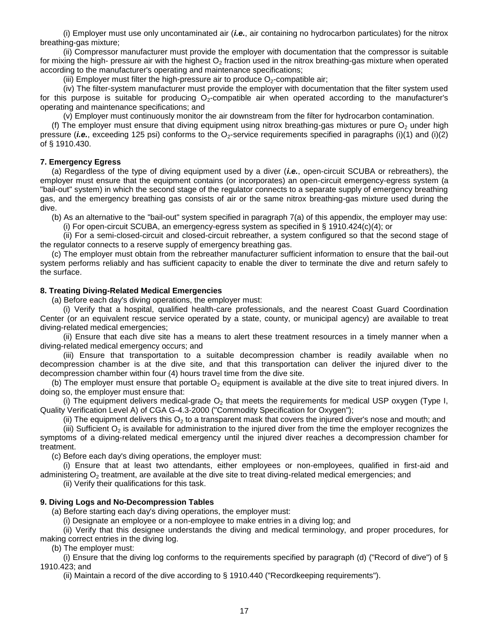(i) Employer must use only uncontaminated air (*i.e.*, air containing no hydrocarbon particulates) for the nitrox breathing-gas mixture;

(ii) Compressor manufacturer must provide the employer with documentation that the compressor is suitable for mixing the high- pressure air with the highest  $O<sub>2</sub>$  fraction used in the nitrox breathing-gas mixture when operated according to the manufacturer's operating and maintenance specifications;

(iii) Employer must filter the high-pressure air to produce  $O<sub>2</sub>$ -compatible air;

(iv) The filter-system manufacturer must provide the employer with documentation that the filter system used for this purpose is suitable for producing  $O_2$ -compatible air when operated according to the manufacturer's operating and maintenance specifications; and

(v) Employer must continuously monitor the air downstream from the filter for hydrocarbon contamination.

(f) The employer must ensure that diving equipment using nitrox breathing-gas mixtures or pure  $O<sub>2</sub>$  under high pressure (*i.e.*, exceeding 125 psi) conforms to the O<sub>2</sub>-service requirements specified in paragraphs (i)(1) and (i)(2) of § 1910.430.

### **7. Emergency Egress**

(a) Regardless of the type of diving equipment used by a diver (*i.e.*, open-circuit SCUBA or rebreathers), the employer must ensure that the equipment contains (or incorporates) an open-circuit emergency-egress system (a "bail-out" system) in which the second stage of the regulator connects to a separate supply of emergency breathing gas, and the emergency breathing gas consists of air or the same nitrox breathing-gas mixture used during the dive.

(b) As an alternative to the "bail-out" system specified in paragraph 7(a) of this appendix, the employer may use:

(i) For open-circuit SCUBA, an emergency-egress system as specified in  $\S$  1910.424(c)(4); or

(ii) For a semi-closed-circuit and closed-circuit rebreather, a system configured so that the second stage of the regulator connects to a reserve supply of emergency breathing gas.

(c) The employer must obtain from the rebreather manufacturer sufficient information to ensure that the bail-out system performs reliably and has sufficient capacity to enable the diver to terminate the dive and return safely to the surface.

### **8. Treating Diving-Related Medical Emergencies**

(a) Before each day's diving operations, the employer must:

(i) Verify that a hospital, qualified health-care professionals, and the nearest Coast Guard Coordination Center (or an equivalent rescue service operated by a state, county, or municipal agency) are available to treat diving-related medical emergencies;

(ii) Ensure that each dive site has a means to alert these treatment resources in a timely manner when a diving-related medical emergency occurs; and

(iii) Ensure that transportation to a suitable decompression chamber is readily available when no decompression chamber is at the dive site, and that this transportation can deliver the injured diver to the decompression chamber within four (4) hours travel time from the dive site.

(b) The employer must ensure that portable  $O_2$  equipment is available at the dive site to treat injured divers. In doing so, the employer must ensure that:

(i) The equipment delivers medical-grade  $O<sub>2</sub>$  that meets the requirements for medical USP oxygen (Type I, Quality Verification Level A) of CGA G-4.3-2000 ("Commodity Specification for Oxygen");

(ii) The equipment delivers this  $O<sub>2</sub>$  to a transparent mask that covers the injured diver's nose and mouth; and

(iii) Sufficient  $O_2$  is available for administration to the injured diver from the time the employer recognizes the symptoms of a diving-related medical emergency until the injured diver reaches a decompression chamber for treatment.

(c) Before each day's diving operations, the employer must:

(i) Ensure that at least two attendants, either employees or non-employees, qualified in first-aid and administering  $O<sub>2</sub>$  treatment, are available at the dive site to treat diving-related medical emergencies; and

(ii) Verify their qualifications for this task.

### **9. Diving Logs and No-Decompression Tables**

(a) Before starting each day's diving operations, the employer must:

(i) Designate an employee or a non-employee to make entries in a diving log; and

(ii) Verify that this designee understands the diving and medical terminology, and proper procedures, for making correct entries in the diving log.

(b) The employer must:

(i) Ensure that the diving log conforms to the requirements specified by paragraph (d) ("Record of dive") of § 1910.423; and

(ii) Maintain a record of the dive according to § 1910.440 ("Recordkeeping requirements").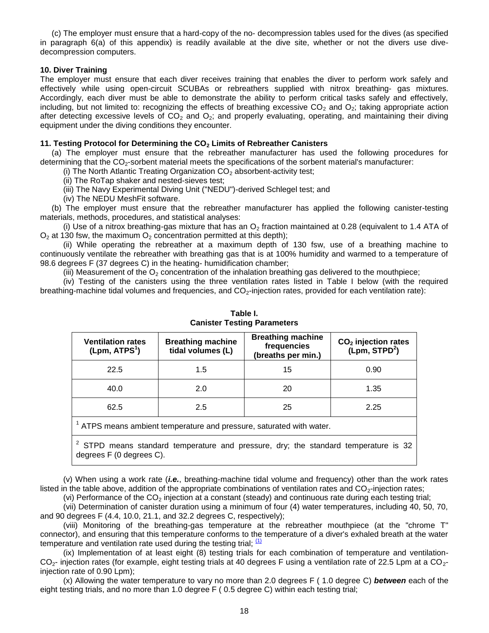(c) The employer must ensure that a hard-copy of the no- decompression tables used for the dives (as specified in paragraph 6(a) of this appendix) is readily available at the dive site, whether or not the divers use divedecompression computers.

# **10. Diver Training**

The employer must ensure that each diver receives training that enables the diver to perform work safely and effectively while using open-circuit SCUBAs or rebreathers supplied with nitrox breathing- gas mixtures. Accordingly, each diver must be able to demonstrate the ability to perform critical tasks safely and effectively, including, but not limited to: recognizing the effects of breathing excessive  $CO<sub>2</sub>$  and  $O<sub>2</sub>$ ; taking appropriate action after detecting excessive levels of  $CO<sub>2</sub>$  and  $O<sub>2</sub>$ ; and properly evaluating, operating, and maintaining their diving equipment under the diving conditions they encounter.

# **11. Testing Protocol for Determining the CO<sup>2</sup> Limits of Rebreather Canisters**

(a) The employer must ensure that the rebreather manufacturer has used the following procedures for determining that the CO<sub>2</sub>-sorbent material meets the specifications of the sorbent material's manufacturer:

(i) The North Atlantic Treating Organization  $CO<sub>2</sub>$  absorbent-activity test;

(ii) The RoTap shaker and nested-sieves test;

(iii) The Navy Experimental Diving Unit ("NEDU")-derived Schlegel test; and

(iv) The NEDU MeshFit software.

(b) The employer must ensure that the rebreather manufacturer has applied the following canister-testing materials, methods, procedures, and statistical analyses:

(i) Use of a nitrox breathing-gas mixture that has an  $O_2$  fraction maintained at 0.28 (equivalent to 1.4 ATA of  $O<sub>2</sub>$  at 130 fsw, the maximum  $O<sub>2</sub>$  concentration permitted at this depth);

(ii) While operating the rebreather at a maximum depth of 130 fsw, use of a breathing machine to continuously ventilate the rebreather with breathing gas that is at 100% humidity and warmed to a temperature of 98.6 degrees F (37 degrees C) in the heating- humidification chamber;

(iii) Measurement of the  $O_2$  concentration of the inhalation breathing gas delivered to the mouthpiece;

(iv) Testing of the canisters using the three ventilation rates listed in Table I below (with the required breathing-machine tidal volumes and frequencies, and CO<sub>2</sub>-injection rates, provided for each ventilation rate):

| <b>Ventilation rates</b><br>(Lpm, ATPS <sup>1</sup> )                           | <b>Breathing machine</b><br>tidal volumes (L) | <b>Breathing machine</b><br>frequencies<br>(breaths per min.) | $CO2$ injection rates<br>(Lpm, STPD <sup>2</sup> ) |
|---------------------------------------------------------------------------------|-----------------------------------------------|---------------------------------------------------------------|----------------------------------------------------|
| 22.5                                                                            | 1.5                                           | 15                                                            | 0.90                                               |
| 40.0                                                                            | 2.0                                           | 20                                                            | 1.35                                               |
| 62.5                                                                            | 2.5                                           | 25                                                            | 2.25                                               |
| <sup>1</sup> ATPS means ambient temperature and pressure, saturated with water. |                                               |                                                               |                                                    |

**Table I. Canister Testing Parameters**

 $2$  STPD means standard temperature and pressure, dry; the standard temperature is 32 degrees F (0 degrees C).

(v) When using a work rate (*i.e.*, breathing-machine tidal volume and frequency) other than the work rates listed in the table above, addition of the appropriate combinations of ventilation rates and  $CO<sub>2</sub>$ -injection rates;

(vi) Performance of the  $CO<sub>2</sub>$  injection at a constant (steady) and continuous rate during each testing trial;

(vii) Determination of canister duration using a minimum of four (4) water temperatures, including 40, 50, 70, and 90 degrees F (4.4, 10.0, 21.1, and 32.2 degrees C, respectively);

(viii) Monitoring of the breathing-gas temperature at the rebreather mouthpiece (at the "chrome T" connector), and ensuring that this temperature conforms to the temperature of a diver's exhaled breath at the water temperature and ventilation rate used during the testing trial;  $(1)$ 

(ix) Implementation of at least eight (8) testing trials for each combination of temperature and ventilation- $CO<sub>2</sub>$ - injection rates (for example, eight testing trials at 40 degrees F using a ventilation rate of 22.5 Lpm at a  $CO<sub>2</sub>$ injection rate of 0.90 Lpm);

(x) Allowing the water temperature to vary no more than 2.0 degrees F ( 1.0 degree C) *between* each of the eight testing trials, and no more than 1.0 degree F ( 0.5 degree C) within each testing trial;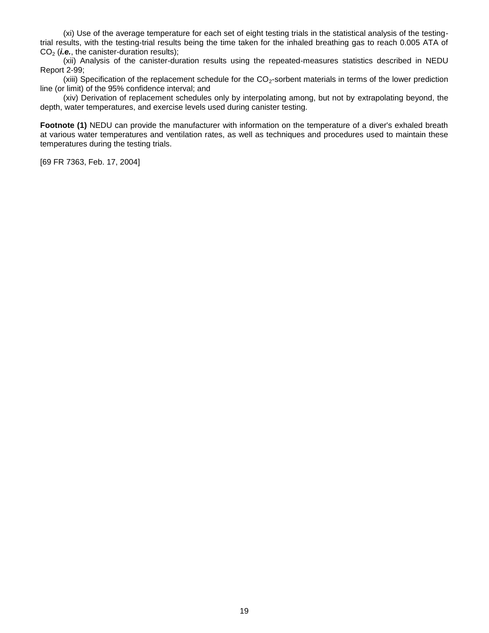(xi) Use of the average temperature for each set of eight testing trials in the statistical analysis of the testingtrial results, with the testing-trial results being the time taken for the inhaled breathing gas to reach 0.005 ATA of  $CO<sub>2</sub>$  (*i.e.*, the canister-duration results);

(xii) Analysis of the canister-duration results using the repeated-measures statistics described in NEDU Report 2-99;

(xiii) Specification of the replacement schedule for the  $CO_2$ -sorbent materials in terms of the lower prediction line (or limit) of the 95% confidence interval; and

(xiv) Derivation of replacement schedules only by interpolating among, but not by extrapolating beyond, the depth, water temperatures, and exercise levels used during canister testing.

**Footnote (1)** NEDU can provide the manufacturer with information on the temperature of a diver's exhaled breath at various water temperatures and ventilation rates, as well as techniques and procedures used to maintain these temperatures during the testing trials.

[69 FR 7363, Feb. 17, 2004]